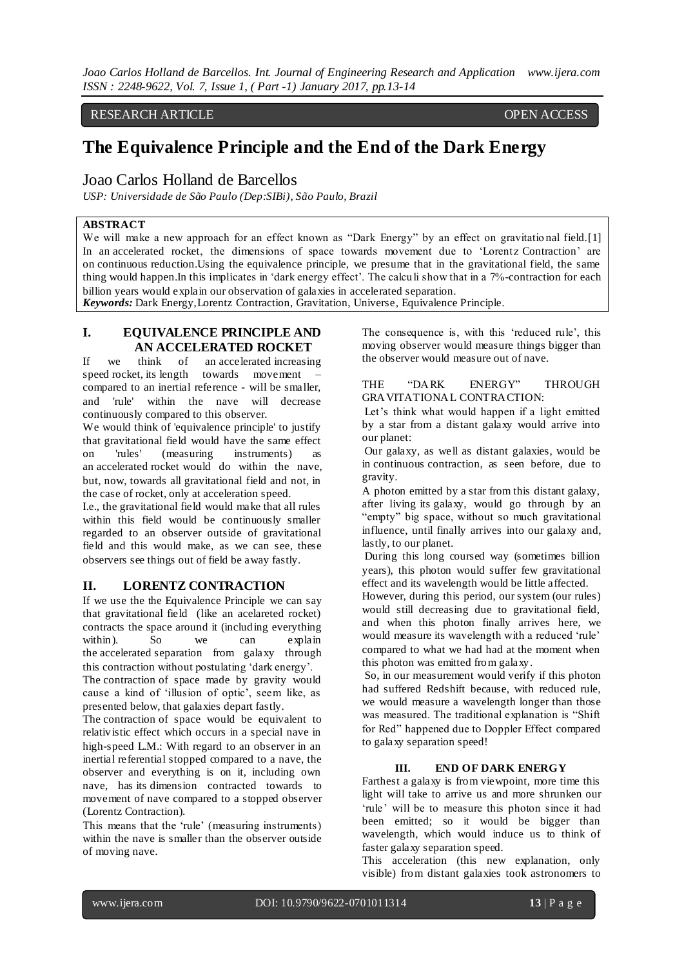*Joao Carlos Holland de Barcellos. Int. Journal of Engineering Research and Application www.ijera.com ISSN : 2248-9622, Vol. 7, Issue 1, ( Part -1) January 2017, pp.13-14*

#### RESEARCH ARTICLE **OPEN ACCESS**

# **The Equivalence Principle and the End of the Dark Energy**

## Joao Carlos Holland de Barcellos

*USP: Universidade de São Paulo (Dep:SIBi), São Paulo, Brazil*

## **ABSTRACT**

We will make a new approach for an effect known as "Dark Energy" by an effect on gravitational field.[1] In an accelerated rocket, the dimensions of space towards movement due to 'Lorentz Contraction' are on continuous reduction.Using the equivalence principle, we presume that in the gravitational field, the same thing would happen. In this implicates in 'dark energy effect'. The calculi show that in a 7%-contraction for each billion years would explain our observation of galaxies in accelerated separation. *Keywords:* Dark Energy,Lorentz Contraction, Gravitation, Universe, Equivalence Principle.

## **I. EQUIVALENCE PRINCIPLE AND AN ACCELERATED ROCKET**

If we think of an accelerated increasing speed rocket, its length towards movement compared to an inertial reference - will be smaller, and 'rule' within the nave will decrease continuously compared to this observer.

We would think of 'equivalence principle' to justify that gravitational field would have the same effect on 'rules' (measuring instruments) as an accelerated rocket would do within the nave, but, now, towards all gravitational field and not, in the case of rocket, only at acceleration speed.

I.e., the gravitational field would make that all rules within this field would be continuously smaller regarded to an observer outside of gravitational field and this would make, as we can see, these observers see things out of field be away fastly.

#### **II. LORENTZ CONTRACTION**

If we use the the Equivalence Principle we can say that gravitational field (like an acelareted rocket) contracts the space around it (including everything within). So we can explain the accelerated separation from galaxy through this contraction without postulating "dark energy".

The contraction of space made by gravity would cause a kind of "illusion of optic", seem like, as presented below, that galaxies depart fastly.

The contraction of space would be equivalent to relativistic effect which occurs in a special nave in high-speed L.M.: With regard to an observer in an inertial referential stopped compared to a nave, the observer and everything is on it, including own nave, has its dimension contracted towards to movement of nave compared to a stopped observer (Lorentz Contraction).

This means that the 'rule' (measuring instruments) within the nave is smaller than the observer outside of moving nave.

The consequence is, with this 'reduced rule', this moving observer would measure things bigger than the observer would measure out of nave.

#### THE "DARK ENERGY" THROUGH GRAVITATIONAL CONTRACTION:

Let's think what would happen if a light emitted by a star from a distant galaxy would arrive into our planet:

Our galaxy, as well as distant galaxies, would be in continuous contraction, as seen before, due to gravity.

A photon emitted by a star from this distant galaxy, after living its galaxy, would go through by an "empty" big space, without so much gravitational influence, until finally arrives into our galaxy and, lastly, to our planet.

During this long coursed way (sometimes billion years), this photon would suffer few gravitational effect and its wavelength would be little affected.

However, during this period, our system (our rules) would still decreasing due to gravitational field, and when this photon finally arrives here, we would measure its wavelength with a reduced "rule" compared to what we had had at the moment when this photon was emitted from galaxy.

So, in our measurement would verify if this photon had suffered Redshift because, with reduced rule, we would measure a wavelength longer than those was measured. The traditional explanation is "Shift for Red" happened due to Doppler Effect compared to galaxy separation speed!

#### **III. END OF DARK ENERGY**

Farthest a galaxy is from viewpoint, more time this light will take to arrive us and more shrunken our 'rule' will be to measure this photon since it had been emitted; so it would be bigger than wavelength, which would induce us to think of faster galaxy separation speed.

This acceleration (this new explanation, only visible) from distant galaxies took astronomers to